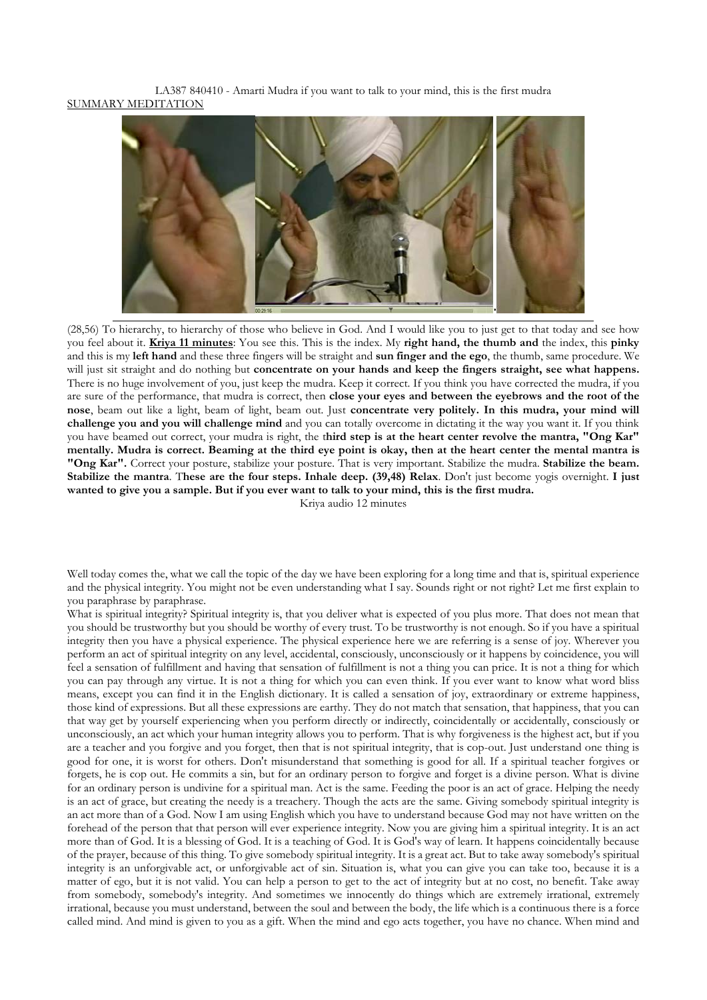LA387 840410 - Amarti Mudra if you want to talk to your mind, this is the first mudra SUMMARY MEDITATION



(28,56) To hierarchy, to hierarchy of those who believe in God. And I would like you to just get to that today and see how you feel about it. **Kriya 11 minutes**: You see this. This is the index. My **right hand, the thumb and** the index, this **pinky** and this is my **left hand** and these three fingers will be straight and **sun finger and the ego**, the thumb, same procedure. We will just sit straight and do nothing but **concentrate on your hands and keep the fingers straight, see what happens.** There is no huge involvement of you, just keep the mudra. Keep it correct. If you think you have corrected the mudra, if you are sure of the performance, that mudra is correct, then **close your eyes and between the eyebrows and the root of the nose**, beam out like a light, beam of light, beam out. Just **concentrate very politely. In this mudra, your mind will challenge you and you will challenge mind** and you can totally overcome in dictating it the way you want it. If you think you have beamed out correct, your mudra is right, the t**hird step is at the heart center revolve the mantra, "Ong Kar" mentally. Mudra is correct. Beaming at the third eye point is okay, then at the heart center the mental mantra is "Ong Kar".** Correct your posture, stabilize your posture. That is very important. Stabilize the mudra. **Stabilize the beam. Stabilize the mantra**. T**hese are the four steps. Inhale deep. (39,48) Relax**. Don't just become yogis overnight. **I just wanted to give you a sample. But if you ever want to talk to your mind, this is the first mudra.**

Kriya audio 12 minutes

Well today comes the, what we call the topic of the day we have been exploring for a long time and that is, spiritual experience and the physical integrity. You might not be even understanding what I say. Sounds right or not right? Let me first explain to you paraphrase by paraphrase.

What is spiritual integrity? Spiritual integrity is, that you deliver what is expected of you plus more. That does not mean that you should be trustworthy but you should be worthy of every trust. To be trustworthy is not enough. So if you have a spiritual integrity then you have a physical experience. The physical experience here we are referring is a sense of joy. Wherever you perform an act of spiritual integrity on any level, accidental, consciously, unconsciously or it happens by coincidence, you will feel a sensation of fulfillment and having that sensation of fulfillment is not a thing you can price. It is not a thing for which you can pay through any virtue. It is not a thing for which you can even think. If you ever want to know what word bliss means, except you can find it in the English dictionary. It is called a sensation of joy, extraordinary or extreme happiness, those kind of expressions. But all these expressions are earthy. They do not match that sensation, that happiness, that you can that way get by yourself experiencing when you perform directly or indirectly, coincidentally or accidentally, consciously or unconsciously, an act which your human integrity allows you to perform. That is why forgiveness is the highest act, but if you are a teacher and you forgive and you forget, then that is not spiritual integrity, that is cop-out. Just understand one thing is good for one, it is worst for others. Don't misunderstand that something is good for all. If a spiritual teacher forgives or forgets, he is cop out. He commits a sin, but for an ordinary person to forgive and forget is a divine person. What is divine for an ordinary person is undivine for a spiritual man. Act is the same. Feeding the poor is an act of grace. Helping the needy is an act of grace, but creating the needy is a treachery. Though the acts are the same. Giving somebody spiritual integrity is an act more than of a God. Now I am using English which you have to understand because God may not have written on the forehead of the person that that person will ever experience integrity. Now you are giving him a spiritual integrity. It is an act more than of God. It is a blessing of God. It is a teaching of God. It is God's way of learn. It happens coincidentally because of the prayer, because of this thing. To give somebody spiritual integrity. It is a great act. But to take away somebody's spiritual integrity is an unforgivable act, or unforgivable act of sin. Situation is, what you can give you can take too, because it is a matter of ego, but it is not valid. You can help a person to get to the act of integrity but at no cost, no benefit. Take away from somebody, somebody's integrity. And sometimes we innocently do things which are extremely irrational, extremely irrational, because you must understand, between the soul and between the body, the life which is a continuous there is a force called mind. And mind is given to you as a gift. When the mind and ego acts together, you have no chance. When mind and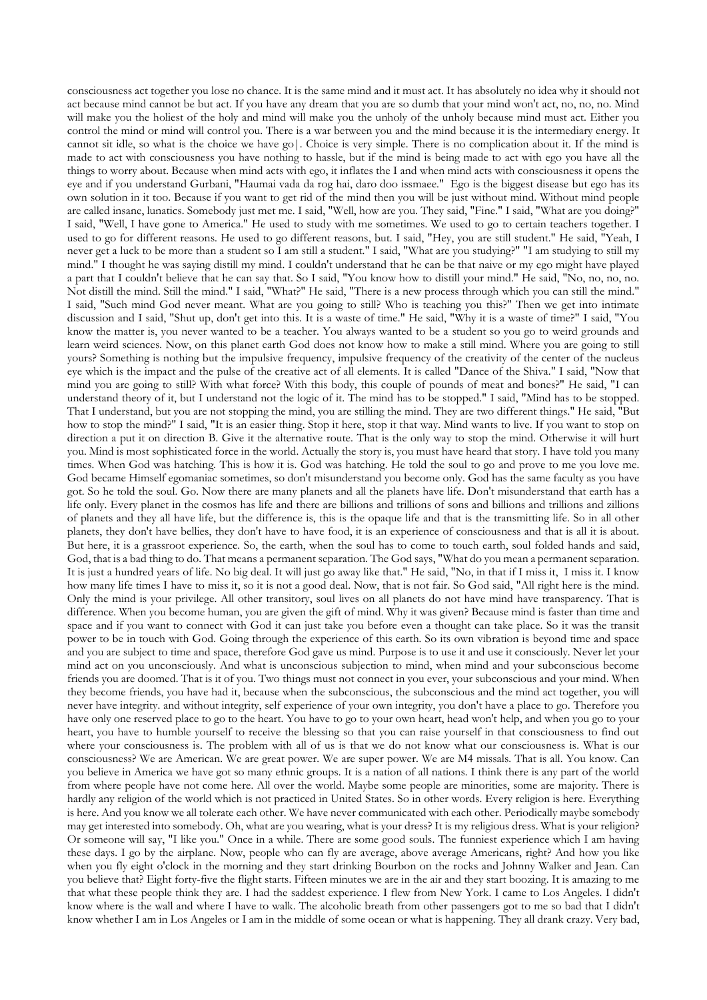consciousness act together you lose no chance. It is the same mind and it must act. It has absolutely no idea why it should not act because mind cannot be but act. If you have any dream that you are so dumb that your mind won't act, no, no, no. Mind will make you the holiest of the holy and mind will make you the unholy of the unholy because mind must act. Either you control the mind or mind will control you. There is a war between you and the mind because it is the intermediary energy. It cannot sit idle, so what is the choice we have go|. Choice is very simple. There is no complication about it. If the mind is made to act with consciousness you have nothing to hassle, but if the mind is being made to act with ego you have all the things to worry about. Because when mind acts with ego, it inflates the I and when mind acts with consciousness it opens the eye and if you understand Gurbani, "Haumai vada da rog hai, daro doo issmaee." Ego is the biggest disease but ego has its own solution in it too. Because if you want to get rid of the mind then you will be just without mind. Without mind people are called insane, lunatics. Somebody just met me. I said, "Well, how are you. They said, "Fine." I said, "What are you doing?" I said, "Well, I have gone to America." He used to study with me sometimes. We used to go to certain teachers together. I used to go for different reasons. He used to go different reasons, but. I said, "Hey, you are still student." He said, "Yeah, I never get a luck to be more than a student so I am still a student." I said, "What are you studying?" "I am studying to still my mind." I thought he was saying distill my mind. I couldn't understand that he can be that naive or my ego might have played a part that I couldn't believe that he can say that. So I said, "You know how to distill your mind." He said, "No, no, no, no. Not distill the mind. Still the mind." I said, "What?" He said, "There is a new process through which you can still the mind." I said, "Such mind God never meant. What are you going to still? Who is teaching you this?" Then we get into intimate discussion and I said, "Shut up, don't get into this. It is a waste of time." He said, "Why it is a waste of time?" I said, "You know the matter is, you never wanted to be a teacher. You always wanted to be a student so you go to weird grounds and learn weird sciences. Now, on this planet earth God does not know how to make a still mind. Where you are going to still yours? Something is nothing but the impulsive frequency, impulsive frequency of the creativity of the center of the nucleus eye which is the impact and the pulse of the creative act of all elements. It is called "Dance of the Shiva." I said, "Now that mind you are going to still? With what force? With this body, this couple of pounds of meat and bones?" He said, "I can understand theory of it, but I understand not the logic of it. The mind has to be stopped." I said, "Mind has to be stopped. That I understand, but you are not stopping the mind, you are stilling the mind. They are two different things." He said, "But how to stop the mind?" I said, "It is an easier thing. Stop it here, stop it that way. Mind wants to live. If you want to stop on direction a put it on direction B. Give it the alternative route. That is the only way to stop the mind. Otherwise it will hurt you. Mind is most sophisticated force in the world. Actually the story is, you must have heard that story. I have told you many times. When God was hatching. This is how it is. God was hatching. He told the soul to go and prove to me you love me. God became Himself egomaniac sometimes, so don't misunderstand you become only. God has the same faculty as you have got. So he told the soul. Go. Now there are many planets and all the planets have life. Don't misunderstand that earth has a life only. Every planet in the cosmos has life and there are billions and trillions of sons and billions and trillions and zillions of planets and they all have life, but the difference is, this is the opaque life and that is the transmitting life. So in all other planets, they don't have bellies, they don't have to have food, it is an experience of consciousness and that is all it is about. But here, it is a grassroot experience. So, the earth, when the soul has to come to touch earth, soul folded hands and said, God, that is a bad thing to do. That means a permanent separation. The God says, "What do you mean a permanent separation. It is just a hundred years of life. No big deal. It will just go away like that." He said, "No, in that if I miss it, I miss it. I know how many life times I have to miss it, so it is not a good deal. Now, that is not fair. So God said, "All right here is the mind. Only the mind is your privilege. All other transitory, soul lives on all planets do not have mind have transparency. That is difference. When you become human, you are given the gift of mind. Why it was given? Because mind is faster than time and space and if you want to connect with God it can just take you before even a thought can take place. So it was the transit power to be in touch with God. Going through the experience of this earth. So its own vibration is beyond time and space and you are subject to time and space, therefore God gave us mind. Purpose is to use it and use it consciously. Never let your mind act on you unconsciously. And what is unconscious subjection to mind, when mind and your subconscious become friends you are doomed. That is it of you. Two things must not connect in you ever, your subconscious and your mind. When they become friends, you have had it, because when the subconscious, the subconscious and the mind act together, you will never have integrity. and without integrity, self experience of your own integrity, you don't have a place to go. Therefore you have only one reserved place to go to the heart. You have to go to your own heart, head won't help, and when you go to your heart, you have to humble yourself to receive the blessing so that you can raise yourself in that consciousness to find out where your consciousness is. The problem with all of us is that we do not know what our consciousness is. What is our consciousness? We are American. We are great power. We are super power. We are M4 missals. That is all. You know. Can you believe in America we have got so many ethnic groups. It is a nation of all nations. I think there is any part of the world from where people have not come here. All over the world. Maybe some people are minorities, some are majority. There is hardly any religion of the world which is not practiced in United States. So in other words. Every religion is here. Everything is here. And you know we all tolerate each other. We have never communicated with each other. Periodically maybe somebody may get interested into somebody. Oh, what are you wearing, what is your dress? It is my religious dress. What is your religion? Or someone will say, "I like you." Once in a while. There are some good souls. The funniest experience which I am having these days. I go by the airplane. Now, people who can fly are average, above average Americans, right? And how you like when you fly eight o'clock in the morning and they start drinking Bourbon on the rocks and Johnny Walker and Jean. Can you believe that? Eight forty-five the flight starts. Fifteen minutes we are in the air and they start boozing. It is amazing to me that what these people think they are. I had the saddest experience. I flew from New York. I came to Los Angeles. I didn't know where is the wall and where I have to walk. The alcoholic breath from other passengers got to me so bad that I didn't know whether I am in Los Angeles or I am in the middle of some ocean or what is happening. They all drank crazy. Very bad,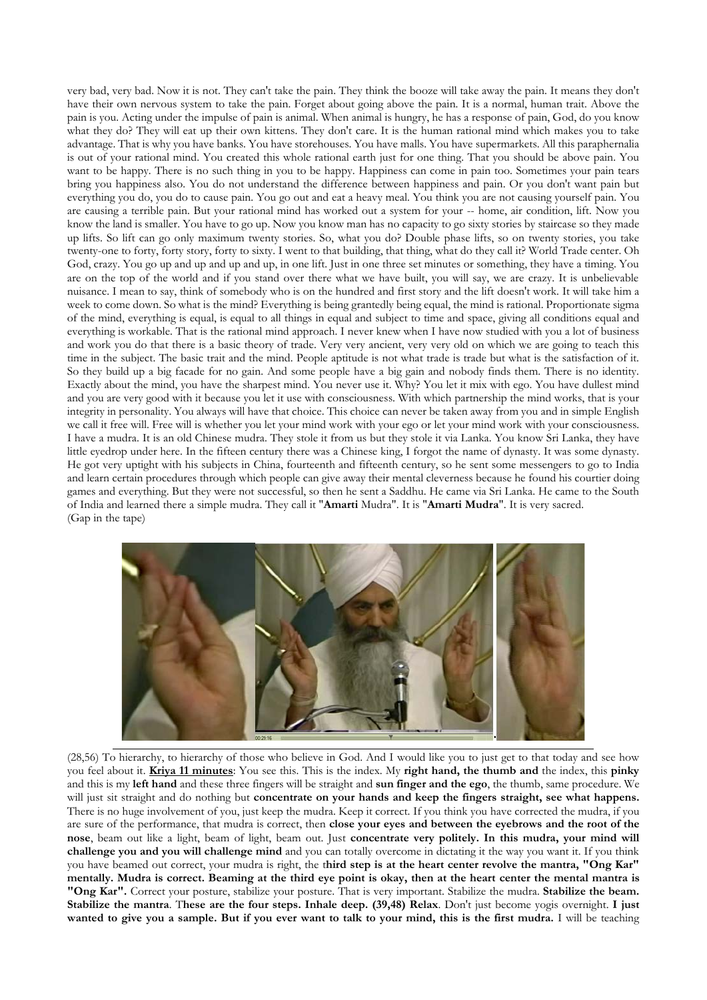very bad, very bad. Now it is not. They can't take the pain. They think the booze will take away the pain. It means they don't have their own nervous system to take the pain. Forget about going above the pain. It is a normal, human trait. Above the pain is you. Acting under the impulse of pain is animal. When animal is hungry, he has a response of pain, God, do you know what they do? They will eat up their own kittens. They don't care. It is the human rational mind which makes you to take advantage. That is why you have banks. You have storehouses. You have malls. You have supermarkets. All this paraphernalia is out of your rational mind. You created this whole rational earth just for one thing. That you should be above pain. You want to be happy. There is no such thing in you to be happy. Happiness can come in pain too. Sometimes your pain tears bring you happiness also. You do not understand the difference between happiness and pain. Or you don't want pain but everything you do, you do to cause pain. You go out and eat a heavy meal. You think you are not causing yourself pain. You are causing a terrible pain. But your rational mind has worked out a system for your -- home, air condition, lift. Now you know the land is smaller. You have to go up. Now you know man has no capacity to go sixty stories by staircase so they made up lifts. So lift can go only maximum twenty stories. So, what you do? Double phase lifts, so on twenty stories, you take twenty-one to forty, forty story, forty to sixty. I went to that building, that thing, what do they call it? World Trade center. Oh God, crazy. You go up and up and up and up, in one lift. Just in one three set minutes or something, they have a timing. You are on the top of the world and if you stand over there what we have built, you will say, we are crazy. It is unbelievable nuisance. I mean to say, think of somebody who is on the hundred and first story and the lift doesn't work. It will take him a week to come down. So what is the mind? Everything is being grantedly being equal, the mind is rational. Proportionate sigma of the mind, everything is equal, is equal to all things in equal and subject to time and space, giving all conditions equal and everything is workable. That is the rational mind approach. I never knew when I have now studied with you a lot of business and work you do that there is a basic theory of trade. Very very ancient, very very old on which we are going to teach this time in the subject. The basic trait and the mind. People aptitude is not what trade is trade but what is the satisfaction of it. So they build up a big facade for no gain. And some people have a big gain and nobody finds them. There is no identity. Exactly about the mind, you have the sharpest mind. You never use it. Why? You let it mix with ego. You have dullest mind and you are very good with it because you let it use with consciousness. With which partnership the mind works, that is your integrity in personality. You always will have that choice. This choice can never be taken away from you and in simple English we call it free will. Free will is whether you let your mind work with your ego or let your mind work with your consciousness. I have a mudra. It is an old Chinese mudra. They stole it from us but they stole it via Lanka. You know Sri Lanka, they have little eyedrop under here. In the fifteen century there was a Chinese king, I forgot the name of dynasty. It was some dynasty. He got very uptight with his subjects in China, fourteenth and fifteenth century, so he sent some messengers to go to India and learn certain procedures through which people can give away their mental cleverness because he found his courtier doing games and everything. But they were not successful, so then he sent a Saddhu. He came via Sri Lanka. He came to the South of India and learned there a simple mudra. They call it "**Amarti** Mudra". It is "**Amarti Mudra**". It is very sacred. (Gap in the tape)



(28,56) To hierarchy, to hierarchy of those who believe in God. And I would like you to just get to that today and see how you feel about it. **Kriya 11 minutes**: You see this. This is the index. My **right hand, the thumb and** the index, this **pinky** and this is my **left hand** and these three fingers will be straight and **sun finger and the ego**, the thumb, same procedure. We will just sit straight and do nothing but **concentrate on your hands and keep the fingers straight, see what happens.**  There is no huge involvement of you, just keep the mudra. Keep it correct. If you think you have corrected the mudra, if you are sure of the performance, that mudra is correct, then **close your eyes and between the eyebrows and the root of the nose**, beam out like a light, beam of light, beam out. Just **concentrate very politely. In this mudra, your mind will challenge you and you will challenge mind** and you can totally overcome in dictating it the way you want it. If you think you have beamed out correct, your mudra is right, the t**hird step is at the heart center revolve the mantra, "Ong Kar" mentally. Mudra is correct. Beaming at the third eye point is okay, then at the heart center the mental mantra is "Ong Kar".** Correct your posture, stabilize your posture. That is very important. Stabilize the mudra. **Stabilize the beam. Stabilize the mantra**. T**hese are the four steps. Inhale deep. (39,48) Relax**. Don't just become yogis overnight. **I just wanted to give you a sample. But if you ever want to talk to your mind, this is the first mudra.** I will be teaching